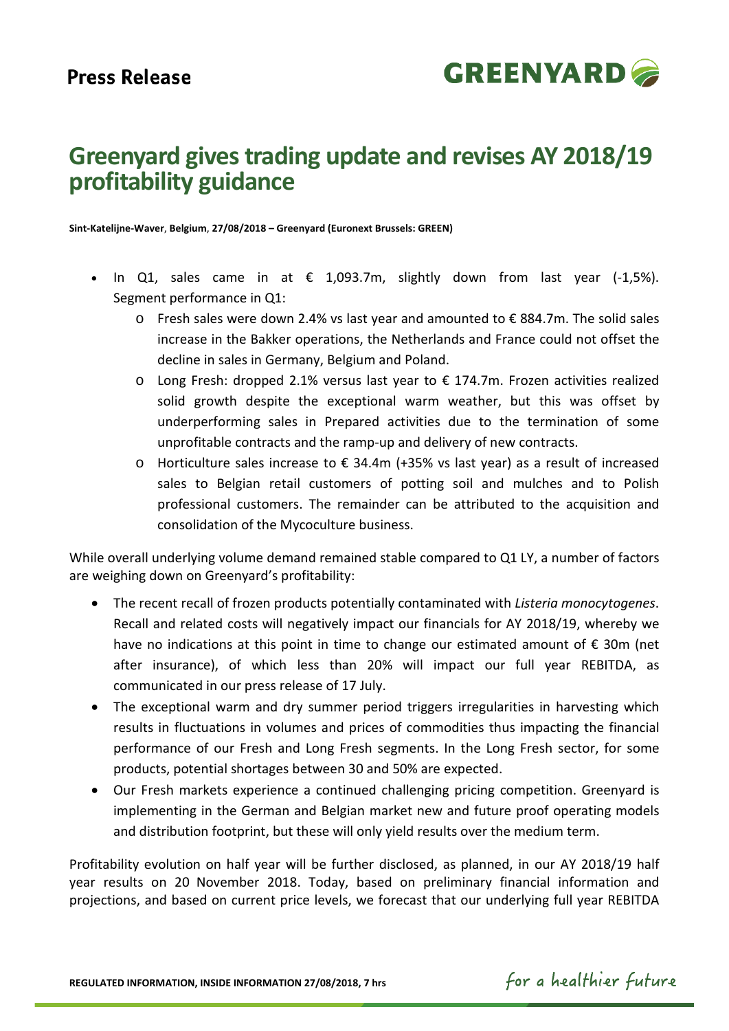

# **Greenyard gives trading update and revises AY 2018/19 profitability guidance**

**Sint-Katelijne-Waver**, **Belgium**, **27/08/2018 – Greenyard (Euronext Brussels: GREEN)**

- In Q1, sales came in at  $\epsilon$  1,093.7m, slightly down from last year (-1,5%). Segment performance in Q1:
	- o Fresh sales were down 2.4% vs last year and amounted to € 884.7m. The solid sales increase in the Bakker operations, the Netherlands and France could not offset the decline in sales in Germany, Belgium and Poland.
	- o Long Fresh: dropped 2.1% versus last year to € 174.7m. Frozen activities realized solid growth despite the exceptional warm weather, but this was offset by underperforming sales in Prepared activities due to the termination of some unprofitable contracts and the ramp-up and delivery of new contracts.
	- o Horticulture sales increase to € 34.4m (+35% vs last year) as a result of increased sales to Belgian retail customers of potting soil and mulches and to Polish professional customers. The remainder can be attributed to the acquisition and consolidation of the Mycoculture business.

While overall underlying volume demand remained stable compared to Q1 LY, a number of factors are weighing down on Greenyard's profitability:

- The recent recall of frozen products potentially contaminated with *Listeria monocytogenes*. Recall and related costs will negatively impact our financials for AY 2018/19, whereby we have no indications at this point in time to change our estimated amount of  $\epsilon$  30m (net after insurance), of which less than 20% will impact our full year REBITDA, as communicated in our press release of 17 July.
- The exceptional warm and dry summer period triggers irregularities in harvesting which results in fluctuations in volumes and prices of commodities thus impacting the financial performance of our Fresh and Long Fresh segments. In the Long Fresh sector, for some products, potential shortages between 30 and 50% are expected.
- Our Fresh markets experience a continued challenging pricing competition. Greenyard is implementing in the German and Belgian market new and future proof operating models and distribution footprint, but these will only yield results over the medium term.

Profitability evolution on half year will be further disclosed, as planned, in our AY 2018/19 half year results on 20 November 2018. Today, based on preliminary financial information and projections, and based on current price levels, we forecast that our underlying full year REBITDA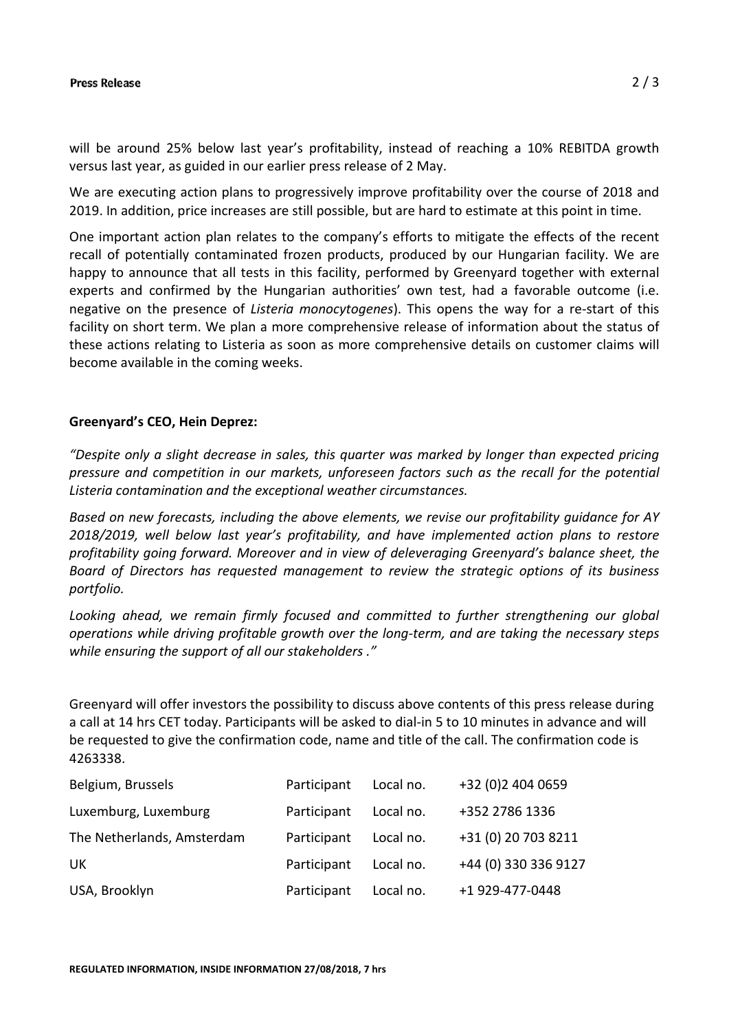#### **Press Release**

will be around 25% below last year's profitability, instead of reaching a 10% REBITDA growth versus last year, as guided in our earlier press release of 2 May.

We are executing action plans to progressively improve profitability over the course of 2018 and 2019. In addition, price increases are still possible, but are hard to estimate at this point in time.

One important action plan relates to the company's efforts to mitigate the effects of the recent recall of potentially contaminated frozen products, produced by our Hungarian facility. We are happy to announce that all tests in this facility, performed by Greenyard together with external experts and confirmed by the Hungarian authorities' own test, had a favorable outcome (i.e. negative on the presence of *Listeria monocytogenes*). This opens the way for a re-start of this facility on short term. We plan a more comprehensive release of information about the status of these actions relating to Listeria as soon as more comprehensive details on customer claims will become available in the coming weeks.

## **Greenyard's CEO, Hein Deprez:**

*"Despite only a slight decrease in sales, this quarter was marked by longer than expected pricing pressure and competition in our markets, unforeseen factors such as the recall for the potential Listeria contamination and the exceptional weather circumstances.* 

*Based on new forecasts, including the above elements, we revise our profitability guidance for AY 2018/2019, well below last year's profitability, and have implemented action plans to restore profitability going forward. Moreover and in view of deleveraging Greenyard's balance sheet, the Board of Directors has requested management to review the strategic options of its business portfolio.* 

*Looking ahead, we remain firmly focused and committed to further strengthening our global operations while driving profitable growth over the long-term, and are taking the necessary steps while ensuring the support of all our stakeholders ."*

Greenyard will offer investors the possibility to discuss above contents of this press release during a call at 14 hrs CET today. Participants will be asked to dial-in 5 to 10 minutes in advance and will be requested to give the confirmation code, name and title of the call. The confirmation code is 4263338.

| Belgium, Brussels          | Participant | Local no. | +32 (0)2 404 0659    |
|----------------------------|-------------|-----------|----------------------|
| Luxemburg, Luxemburg       | Participant | Local no. | +352 2786 1336       |
| The Netherlands, Amsterdam | Participant | Local no. | +31 (0) 20 703 8211  |
| UK.                        | Participant | Local no. | +44 (0) 330 336 9127 |
| USA, Brooklyn              | Participant | Local no. | +1 929-477-0448      |